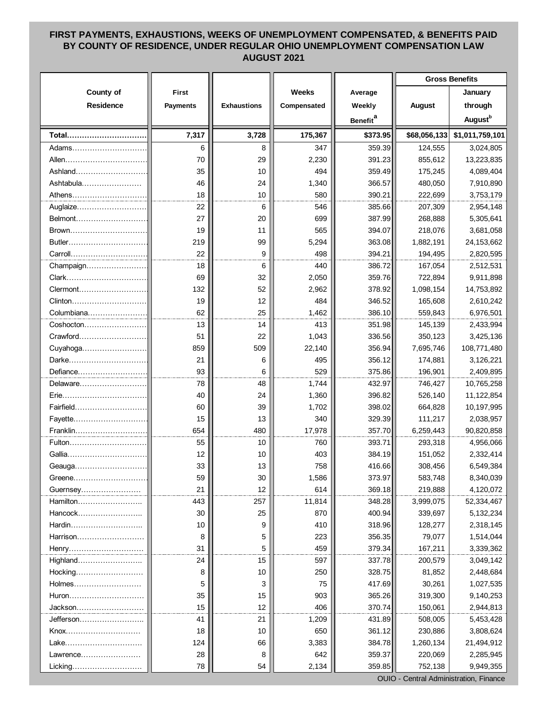## **FIRST PAYMENTS, EXHAUSTIONS, WEEKS OF UNEMPLOYMENT COMPENSATED, & BENEFITS PAID BY COUNTY OF RESIDENCE, UNDER REGULAR OHIO UNEMPLOYMENT COMPENSATION LAW AUGUST 2021**

| County of<br><b>Weeks</b><br><b>First</b><br>Average<br><b>Residence</b><br><b>Payments</b><br><b>Exhaustions</b><br>Compensated<br>Weekly<br><b>August</b><br><b>Benefit</b> <sup>a</sup><br>7,317<br>3,728<br>175,367<br>\$68,056,133<br>Total<br>\$373.95<br>6<br>347<br>359.39<br>8<br>124,555<br>Adams<br>29<br>2,230<br>391.23<br>855,612<br>Allen<br>70<br>Ashland<br>35<br>10<br>494<br>359.49<br>175,245<br>Ashtabula<br>46<br>24<br>1,340<br>366.57<br>480,050<br>18<br>10<br>580<br>390.21<br>222,699<br>Athens<br>22<br>546<br>385.66<br>Auglaize<br>6<br>207,309<br>Belmont<br>27<br>20<br>699<br>387.99<br>268,888<br>11<br>565<br>394.07<br>218,076<br>Brown<br>19<br>219<br>99<br>5,294<br>363.08<br>1,882,191<br>Butler<br>22<br>9<br>498<br>394.21<br>Carroll<br>194,495<br>18<br>6<br>440<br>386.72<br>Champaign<br>167,054<br>32<br>69<br>2,050<br>359.76<br>722,894<br>Clark<br>132<br>52<br>2,962<br>378.92<br>1,098,154<br>Clermont<br>Clinton<br>19<br>12<br>484<br>346.52<br>165,608<br>62<br>Columbiana<br>25<br>1,462<br>386.10<br>559,843<br>13<br>14<br>413<br>351.98<br>$Coshocton$<br>145,139<br>Crawford<br>51<br>22<br>1,043<br>336.56<br>350,123<br>859<br>509<br>22,140<br>356.94<br>7,695,746<br>Cuyahoga<br>Darke<br>21<br>6<br>495<br>356.12<br>174,881<br>93<br>6<br>Defiance<br>529<br>375.86<br>196,901<br>78<br>48<br>432.97<br>1,744<br>746,427<br>Delaware |    |    |       |        | <b>Gross Benefits</b> |                     |
|--------------------------------------------------------------------------------------------------------------------------------------------------------------------------------------------------------------------------------------------------------------------------------------------------------------------------------------------------------------------------------------------------------------------------------------------------------------------------------------------------------------------------------------------------------------------------------------------------------------------------------------------------------------------------------------------------------------------------------------------------------------------------------------------------------------------------------------------------------------------------------------------------------------------------------------------------------------------------------------------------------------------------------------------------------------------------------------------------------------------------------------------------------------------------------------------------------------------------------------------------------------------------------------------------------------------------------------------------------------------------------------------------------|----|----|-------|--------|-----------------------|---------------------|
|                                                                                                                                                                                                                                                                                                                                                                                                                                                                                                                                                                                                                                                                                                                                                                                                                                                                                                                                                                                                                                                                                                                                                                                                                                                                                                                                                                                                        |    |    |       |        |                       | January             |
|                                                                                                                                                                                                                                                                                                                                                                                                                                                                                                                                                                                                                                                                                                                                                                                                                                                                                                                                                                                                                                                                                                                                                                                                                                                                                                                                                                                                        |    |    |       |        |                       | through             |
|                                                                                                                                                                                                                                                                                                                                                                                                                                                                                                                                                                                                                                                                                                                                                                                                                                                                                                                                                                                                                                                                                                                                                                                                                                                                                                                                                                                                        |    |    |       |        |                       | August <sup>b</sup> |
|                                                                                                                                                                                                                                                                                                                                                                                                                                                                                                                                                                                                                                                                                                                                                                                                                                                                                                                                                                                                                                                                                                                                                                                                                                                                                                                                                                                                        |    |    |       |        |                       | \$1,011,759,101     |
|                                                                                                                                                                                                                                                                                                                                                                                                                                                                                                                                                                                                                                                                                                                                                                                                                                                                                                                                                                                                                                                                                                                                                                                                                                                                                                                                                                                                        |    |    |       |        |                       | 3,024,805           |
|                                                                                                                                                                                                                                                                                                                                                                                                                                                                                                                                                                                                                                                                                                                                                                                                                                                                                                                                                                                                                                                                                                                                                                                                                                                                                                                                                                                                        |    |    |       |        |                       | 13,223,835          |
|                                                                                                                                                                                                                                                                                                                                                                                                                                                                                                                                                                                                                                                                                                                                                                                                                                                                                                                                                                                                                                                                                                                                                                                                                                                                                                                                                                                                        |    |    |       |        |                       | 4,089,404           |
|                                                                                                                                                                                                                                                                                                                                                                                                                                                                                                                                                                                                                                                                                                                                                                                                                                                                                                                                                                                                                                                                                                                                                                                                                                                                                                                                                                                                        |    |    |       |        |                       | 7,910,890           |
|                                                                                                                                                                                                                                                                                                                                                                                                                                                                                                                                                                                                                                                                                                                                                                                                                                                                                                                                                                                                                                                                                                                                                                                                                                                                                                                                                                                                        |    |    |       |        |                       | 3,753,179           |
|                                                                                                                                                                                                                                                                                                                                                                                                                                                                                                                                                                                                                                                                                                                                                                                                                                                                                                                                                                                                                                                                                                                                                                                                                                                                                                                                                                                                        |    |    |       |        |                       | 2,954,148           |
|                                                                                                                                                                                                                                                                                                                                                                                                                                                                                                                                                                                                                                                                                                                                                                                                                                                                                                                                                                                                                                                                                                                                                                                                                                                                                                                                                                                                        |    |    |       |        |                       | 5,305,641           |
|                                                                                                                                                                                                                                                                                                                                                                                                                                                                                                                                                                                                                                                                                                                                                                                                                                                                                                                                                                                                                                                                                                                                                                                                                                                                                                                                                                                                        |    |    |       |        |                       | 3,681,058           |
|                                                                                                                                                                                                                                                                                                                                                                                                                                                                                                                                                                                                                                                                                                                                                                                                                                                                                                                                                                                                                                                                                                                                                                                                                                                                                                                                                                                                        |    |    |       |        |                       | 24, 153, 662        |
|                                                                                                                                                                                                                                                                                                                                                                                                                                                                                                                                                                                                                                                                                                                                                                                                                                                                                                                                                                                                                                                                                                                                                                                                                                                                                                                                                                                                        |    |    |       |        |                       | 2,820,595           |
|                                                                                                                                                                                                                                                                                                                                                                                                                                                                                                                                                                                                                                                                                                                                                                                                                                                                                                                                                                                                                                                                                                                                                                                                                                                                                                                                                                                                        |    |    |       |        |                       | 2,512,531           |
|                                                                                                                                                                                                                                                                                                                                                                                                                                                                                                                                                                                                                                                                                                                                                                                                                                                                                                                                                                                                                                                                                                                                                                                                                                                                                                                                                                                                        |    |    |       |        |                       | 9,911,898           |
|                                                                                                                                                                                                                                                                                                                                                                                                                                                                                                                                                                                                                                                                                                                                                                                                                                                                                                                                                                                                                                                                                                                                                                                                                                                                                                                                                                                                        |    |    |       |        |                       | 14,753,892          |
|                                                                                                                                                                                                                                                                                                                                                                                                                                                                                                                                                                                                                                                                                                                                                                                                                                                                                                                                                                                                                                                                                                                                                                                                                                                                                                                                                                                                        |    |    |       |        |                       | 2,610,242           |
|                                                                                                                                                                                                                                                                                                                                                                                                                                                                                                                                                                                                                                                                                                                                                                                                                                                                                                                                                                                                                                                                                                                                                                                                                                                                                                                                                                                                        |    |    |       |        |                       | 6,976,501           |
|                                                                                                                                                                                                                                                                                                                                                                                                                                                                                                                                                                                                                                                                                                                                                                                                                                                                                                                                                                                                                                                                                                                                                                                                                                                                                                                                                                                                        |    |    |       |        |                       | 2,433,994           |
|                                                                                                                                                                                                                                                                                                                                                                                                                                                                                                                                                                                                                                                                                                                                                                                                                                                                                                                                                                                                                                                                                                                                                                                                                                                                                                                                                                                                        |    |    |       |        |                       | 3,425,136           |
|                                                                                                                                                                                                                                                                                                                                                                                                                                                                                                                                                                                                                                                                                                                                                                                                                                                                                                                                                                                                                                                                                                                                                                                                                                                                                                                                                                                                        |    |    |       |        |                       | 108,771,480         |
|                                                                                                                                                                                                                                                                                                                                                                                                                                                                                                                                                                                                                                                                                                                                                                                                                                                                                                                                                                                                                                                                                                                                                                                                                                                                                                                                                                                                        |    |    |       |        |                       | 3,126,221           |
|                                                                                                                                                                                                                                                                                                                                                                                                                                                                                                                                                                                                                                                                                                                                                                                                                                                                                                                                                                                                                                                                                                                                                                                                                                                                                                                                                                                                        |    |    |       |        |                       | 2,409,895           |
|                                                                                                                                                                                                                                                                                                                                                                                                                                                                                                                                                                                                                                                                                                                                                                                                                                                                                                                                                                                                                                                                                                                                                                                                                                                                                                                                                                                                        |    |    |       |        |                       | 10,765,258          |
| Erie                                                                                                                                                                                                                                                                                                                                                                                                                                                                                                                                                                                                                                                                                                                                                                                                                                                                                                                                                                                                                                                                                                                                                                                                                                                                                                                                                                                                   | 40 | 24 | 1,360 | 396.82 | 526,140               | 11,122,854          |
| Fairfield<br>60<br>39<br>1,702<br>398.02<br>664,828                                                                                                                                                                                                                                                                                                                                                                                                                                                                                                                                                                                                                                                                                                                                                                                                                                                                                                                                                                                                                                                                                                                                                                                                                                                                                                                                                    |    |    |       |        |                       | 10,197,995          |
| 15<br>13<br>340<br>329.39<br>111,217<br>Fayette                                                                                                                                                                                                                                                                                                                                                                                                                                                                                                                                                                                                                                                                                                                                                                                                                                                                                                                                                                                                                                                                                                                                                                                                                                                                                                                                                        |    |    |       |        |                       | 2,038,957           |
| Franklin<br>654<br>17,978<br>357.70<br>480<br>6,259,443                                                                                                                                                                                                                                                                                                                                                                                                                                                                                                                                                                                                                                                                                                                                                                                                                                                                                                                                                                                                                                                                                                                                                                                                                                                                                                                                                |    |    |       |        |                       | 90,820,858          |
| 55<br>393.71<br>Fulton<br>10<br>760<br>293,318                                                                                                                                                                                                                                                                                                                                                                                                                                                                                                                                                                                                                                                                                                                                                                                                                                                                                                                                                                                                                                                                                                                                                                                                                                                                                                                                                         |    |    |       |        |                       | 4,956,066           |
| Gallia<br>12<br>403<br>384.19<br>151,052<br>10                                                                                                                                                                                                                                                                                                                                                                                                                                                                                                                                                                                                                                                                                                                                                                                                                                                                                                                                                                                                                                                                                                                                                                                                                                                                                                                                                         |    |    |       |        |                       | 2,332,414           |
| 33<br>13<br>758<br>416.66<br>308,456<br>Geauga                                                                                                                                                                                                                                                                                                                                                                                                                                                                                                                                                                                                                                                                                                                                                                                                                                                                                                                                                                                                                                                                                                                                                                                                                                                                                                                                                         |    |    |       |        |                       | 6,549,384           |
| 59<br>373.97<br>583,748<br>30<br>1,586<br>Greene                                                                                                                                                                                                                                                                                                                                                                                                                                                                                                                                                                                                                                                                                                                                                                                                                                                                                                                                                                                                                                                                                                                                                                                                                                                                                                                                                       |    |    |       |        |                       | 8,340,039           |
| 21<br>12<br>369.18<br>614<br>219,888<br>Guernsey                                                                                                                                                                                                                                                                                                                                                                                                                                                                                                                                                                                                                                                                                                                                                                                                                                                                                                                                                                                                                                                                                                                                                                                                                                                                                                                                                       |    |    |       |        |                       | 4,120,072           |
| Hamilton<br>11,814<br>3,999,075<br>443<br>257<br>348.28                                                                                                                                                                                                                                                                                                                                                                                                                                                                                                                                                                                                                                                                                                                                                                                                                                                                                                                                                                                                                                                                                                                                                                                                                                                                                                                                                |    |    |       |        |                       | 52,334,467          |
| Hancock<br>25<br>870<br>400.94<br>339,697<br>30                                                                                                                                                                                                                                                                                                                                                                                                                                                                                                                                                                                                                                                                                                                                                                                                                                                                                                                                                                                                                                                                                                                                                                                                                                                                                                                                                        |    |    |       |        |                       | 5,132,234           |
| Hardin<br>10<br>410<br>318.96<br>128,277<br>9                                                                                                                                                                                                                                                                                                                                                                                                                                                                                                                                                                                                                                                                                                                                                                                                                                                                                                                                                                                                                                                                                                                                                                                                                                                                                                                                                          |    |    |       |        |                       | 2,318,145           |
| Harrison<br>5<br>223<br>356.35<br>79,077<br>8                                                                                                                                                                                                                                                                                                                                                                                                                                                                                                                                                                                                                                                                                                                                                                                                                                                                                                                                                                                                                                                                                                                                                                                                                                                                                                                                                          |    |    |       |        |                       | 1,514,044           |
| 5<br>379.34<br>31<br>459<br>167,211                                                                                                                                                                                                                                                                                                                                                                                                                                                                                                                                                                                                                                                                                                                                                                                                                                                                                                                                                                                                                                                                                                                                                                                                                                                                                                                                                                    |    |    |       |        |                       | 3,339,362           |
| 15<br>Highland<br>24<br>597<br>337.78<br>200,579                                                                                                                                                                                                                                                                                                                                                                                                                                                                                                                                                                                                                                                                                                                                                                                                                                                                                                                                                                                                                                                                                                                                                                                                                                                                                                                                                       |    |    |       |        |                       | 3,049,142           |
| 10<br>328.75<br>81,852<br>Hocking<br>8<br>250                                                                                                                                                                                                                                                                                                                                                                                                                                                                                                                                                                                                                                                                                                                                                                                                                                                                                                                                                                                                                                                                                                                                                                                                                                                                                                                                                          |    |    |       |        |                       | 2,448,684           |
| 3<br>75<br>417.69<br>30,261<br>Holmes<br>5                                                                                                                                                                                                                                                                                                                                                                                                                                                                                                                                                                                                                                                                                                                                                                                                                                                                                                                                                                                                                                                                                                                                                                                                                                                                                                                                                             |    |    |       |        |                       | 1,027,535           |
| 35<br>15<br>903<br>365.26<br>319,300<br>Huron                                                                                                                                                                                                                                                                                                                                                                                                                                                                                                                                                                                                                                                                                                                                                                                                                                                                                                                                                                                                                                                                                                                                                                                                                                                                                                                                                          |    |    |       |        |                       | 9,140,253           |
| 15<br>12<br>370.74<br>406<br>150,061<br>Jackson………………                                                                                                                                                                                                                                                                                                                                                                                                                                                                                                                                                                                                                                                                                                                                                                                                                                                                                                                                                                                                                                                                                                                                                                                                                                                                                                                                                  |    |    |       |        |                       | 2,944,813           |
| Jefferson………………<br>41<br>21<br>1,209<br>431.89<br>508,005                                                                                                                                                                                                                                                                                                                                                                                                                                                                                                                                                                                                                                                                                                                                                                                                                                                                                                                                                                                                                                                                                                                                                                                                                                                                                                                                              |    |    |       |        |                       | 5,453,428           |
| 10<br>650<br>361.12<br>230,886<br>Knox<br>18                                                                                                                                                                                                                                                                                                                                                                                                                                                                                                                                                                                                                                                                                                                                                                                                                                                                                                                                                                                                                                                                                                                                                                                                                                                                                                                                                           |    |    |       |        |                       | 3,808,624           |
| 124<br>66<br>3,383<br>384.78<br>1,260,134<br>Lake                                                                                                                                                                                                                                                                                                                                                                                                                                                                                                                                                                                                                                                                                                                                                                                                                                                                                                                                                                                                                                                                                                                                                                                                                                                                                                                                                      |    |    |       |        |                       | 21,494,912          |
| 359.37<br>Lawrence<br>28<br>8<br>642<br>220,069                                                                                                                                                                                                                                                                                                                                                                                                                                                                                                                                                                                                                                                                                                                                                                                                                                                                                                                                                                                                                                                                                                                                                                                                                                                                                                                                                        |    |    |       |        |                       | 2,285,945           |
| 359.85<br>78<br>54<br>2,134<br>752,138<br>Licking                                                                                                                                                                                                                                                                                                                                                                                                                                                                                                                                                                                                                                                                                                                                                                                                                                                                                                                                                                                                                                                                                                                                                                                                                                                                                                                                                      |    |    |       |        |                       | 9,949,355           |

OUIO - Central Administration, Finance